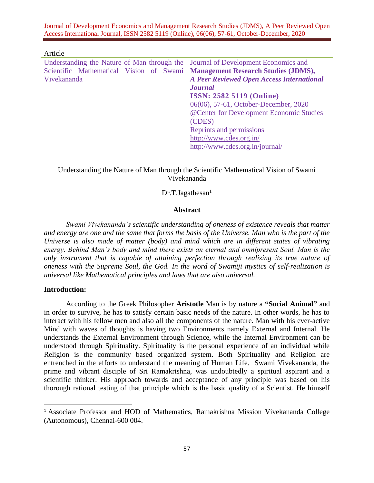Journal of Development Economics and Management Research Studies (JDMS), A Peer Reviewed Open Access International Journal, ISSN 2582 5119 (Online), 06(06), 57-61, October-December, 2020

| Article                                                                             |                                                  |
|-------------------------------------------------------------------------------------|--------------------------------------------------|
| Understanding the Nature of Man through the Journal of Development Economics and    |                                                  |
| Scientific Mathematical Vision of Swami <b>Management Research Studies (JDMS)</b> , |                                                  |
| Vivekananda                                                                         | <b>A Peer Reviewed Open Access International</b> |
|                                                                                     | <b>Journal</b>                                   |
|                                                                                     | <b>ISSN: 2582 5119 (Online)</b>                  |
|                                                                                     | 06(06), 57-61, October-December, 2020            |
|                                                                                     | @Center for Development Economic Studies         |
|                                                                                     | (CDES)                                           |
|                                                                                     | Reprints and permissions                         |
|                                                                                     | http://www.cdes.org.in/                          |
|                                                                                     | http://www.cdes.org.in/journal/                  |

## Understanding the Nature of Man through the Scientific Mathematical Vision of Swami Vivekananda

## Dr.T.Jagathesan**<sup>1</sup>**

#### **Abstract**

*Swami Vivekananda's scientific understanding of oneness of existence reveals that matter and energy are one and the same that forms the basis of the Universe. Man who is the part of the Universe is also made of matter (body) and mind which are in different states of vibrating energy. Behind Man's body and mind there exists an eternal and omnipresent Soul. Man is the only instrument that is capable of attaining perfection through realizing its true nature of oneness with the Supreme Soul, the God. In the word of Swamiji mystics of self-realization is universal like Mathematical principles and laws that are also universal.* 

#### **Introduction:**

According to the Greek Philosopher **Aristotle** Man is by nature a **"Social Animal"** and in order to survive, he has to satisfy certain basic needs of the nature. In other words, he has to interact with his fellow men and also all the components of the nature. Man with his ever-active Mind with waves of thoughts is having two Environments namely External and Internal. He understands the External Environment through Science, while the Internal Environment can be understood through Spirituality. Spirituality is the personal experience of an individual while Religion is the community based organized system. Both Spirituality and Religion are entrenched in the efforts to understand the meaning of Human Life. Swami Vivekananda, the prime and vibrant disciple of Sri Ramakrishna, was undoubtedly a spiritual aspirant and a scientific thinker. His approach towards and acceptance of any principle was based on his thorough rational testing of that principle which is the basic quality of a Scientist. He himself

<sup>&</sup>lt;sup>1</sup> Associate Professor and HOD of Mathematics, Ramakrishna Mission Vivekananda College (Autonomous), Chennai-600 004.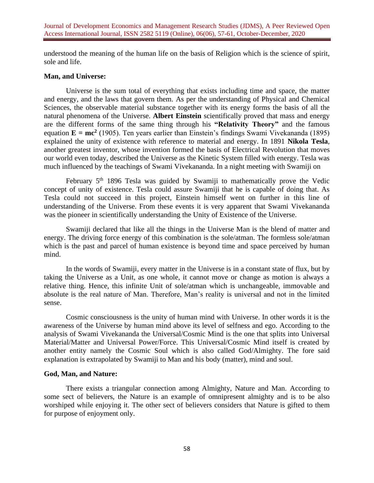understood the meaning of the human life on the basis of Religion which is the science of spirit, sole and life.

### **Man, and Universe:**

Universe is the sum total of everything that exists including time and space, the matter and energy, and the laws that govern them. As per the understanding of Physical and Chemical Sciences, the observable material substance together with its energy forms the basis of all the natural phenomena of the Universe. **Albert Einstein** scientifically proved that mass and energy are the different forms of the same thing through his **"Relativity Theory"** and the famous equation  $E = mc^2$  (1905). Ten years earlier than Einstein's findings Swami Vivekananda (1895) explained the unity of existence with reference to material and energy. In 1891 **Nikola Tesla**, another greatest inventor, whose invention formed the basis of Electrical Revolution that moves our world even today, described the Universe as the Kinetic System filled with energy. Tesla was much influenced by the teachings of Swami Vivekananda. In a night meeting with Swamiji on

February 5th 1896 Tesla was guided by Swamiji to mathematically prove the Vedic concept of unity of existence. Tesla could assure Swamiji that he is capable of doing that. As Tesla could not succeed in this project, Einstein himself went on further in this line of understanding of the Universe. From these events it is very apparent that Swami Vivekananda was the pioneer in scientifically understanding the Unity of Existence of the Universe.

Swamiji declared that like all the things in the Universe Man is the blend of matter and energy. The driving force energy of this combination is the sole/atman. The formless sole/atman which is the past and parcel of human existence is beyond time and space perceived by human mind.

In the words of Swamiji, every matter in the Universe is in a constant state of flux, but by taking the Universe as a Unit, as one whole, it cannot move or change as motion is always a relative thing. Hence, this infinite Unit of sole/atman which is unchangeable, immovable and absolute is the real nature of Man. Therefore, Man's reality is universal and not in the limited sense.

Cosmic consciousness is the unity of human mind with Universe. In other words it is the awareness of the Universe by human mind above its level of selfness and ego. According to the analysis of Swami Vivekananda the Universal/Cosmic Mind is the one that splits into Universal Material/Matter and Universal Power/Force. This Universal/Cosmic Mind itself is created by another entity namely the Cosmic Soul which is also called God/Almighty. The fore said explanation is extrapolated by Swamiji to Man and his body (matter), mind and soul.

# **God, Man, and Nature:**

There exists a triangular connection among Almighty, Nature and Man. According to some sect of believers, the Nature is an example of omnipresent almighty and is to be also worshiped while enjoying it. The other sect of believers considers that Nature is gifted to them for purpose of enjoyment only.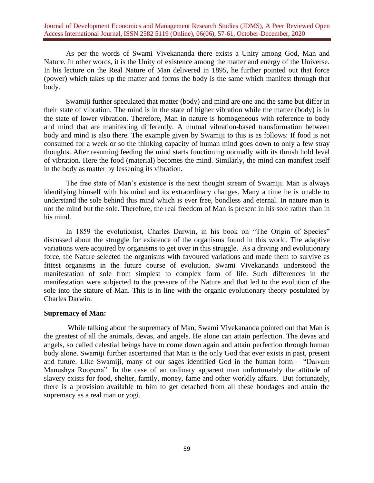Journal of Development Economics and Management Research Studies (JDMS), A Peer Reviewed Open Access International Journal, ISSN 2582 5119 (Online), 06(06), 57-61, October-December, 2020

As per the words of Swami Vivekananda there exists a Unity among God, Man and Nature. In other words, it is the Unity of existence among the matter and energy of the Universe. In his lecture on the Real Nature of Man delivered in 1895, he further pointed out that force (power) which takes up the matter and forms the body is the same which manifest through that body.

Swamiji further speculated that matter (body) and mind are one and the same but differ in their state of vibration. The mind is in the state of higher vibration while the matter (body) is in the state of lower vibration. Therefore, Man in nature is homogeneous with reference to body and mind that are manifesting differently. A mutual vibration-based transformation between body and mind is also there. The example given by Swamiji to this is as follows: If food is not consumed for a week or so the thinking capacity of human mind goes down to only a few stray thoughts. After resuming feeding the mind starts functioning normally with its thrush hold level of vibration. Here the food (material) becomes the mind. Similarly, the mind can manifest itself in the body as matter by lessening its vibration.

The free state of Man's existence is the next thought stream of Swamiji. Man is always identifying himself with his mind and its extraordinary changes. Many a time he is unable to understand the sole behind this mind which is ever free, bondless and eternal. In nature man is not the mind but the sole. Therefore, the real freedom of Man is present in his sole rather than in his mind.

In 1859 the evolutionist, Charles Darwin, in his book on "The Origin of Species" discussed about the struggle for existence of the organisms found in this world. The adaptive variations were acquired by organisms to get over in this struggle. As a driving and evolutionary force, the Nature selected the organisms with favoured variations and made them to survive as fittest organisms in the future course of evolution. Swami Vivekananda understood the manifestation of sole from simplest to complex form of life. Such differences in the manifestation were subjected to the pressure of the Nature and that led to the evolution of the sole into the stature of Man. This is in line with the organic evolutionary theory postulated by Charles Darwin.

#### **Supremacy of Man:**

While talking about the supremacy of Man, Swami Vivekananda pointed out that Man is the greatest of all the animals, devas, and angels. He alone can attain perfection. The devas and angels, so called celestial beings have to come down again and attain perfection through human body alone. Swamiji further ascertained that Man is the only God that ever exists in past, present and future. Like Swamiji, many of our sages identified God in the human form – "Daivam Manushya Roopena". In the case of an ordinary apparent man unfortunately the attitude of slavery exists for food, shelter, family, money, fame and other worldly affairs. But fortunately, there is a provision available to him to get detached from all these bondages and attain the supremacy as a real man or yogi.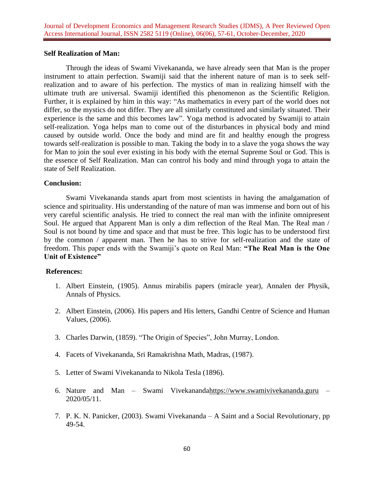## **Self Realization of Man:**

Through the ideas of Swami Vivekananda, we have already seen that Man is the proper instrument to attain perfection. Swamiji said that the inherent nature of man is to seek selfrealization and to aware of his perfection. The mystics of man in realizing himself with the ultimate truth are universal. Swamiji identified this phenomenon as the Scientific Religion. Further, it is explained by him in this way: "As mathematics in every part of the world does not differ, so the mystics do not differ. They are all similarly constituted and similarly situated. Their experience is the same and this becomes law". Yoga method is advocated by Swamiji to attain self-realization. Yoga helps man to come out of the disturbances in physical body and mind caused by outside world. Once the body and mind are fit and healthy enough the progress towards self-realization is possible to man. Taking the body in to a slave the yoga shows the way for Man to join the soul ever existing in his body with the eternal Supreme Soul or God. This is the essence of Self Realization. Man can control his body and mind through yoga to attain the state of Self Realization.

#### **Conclusion:**

Swami Vivekananda stands apart from most scientists in having the amalgamation of science and spirituality. His understanding of the nature of man was immense and born out of his very careful scientific analysis. He tried to connect the real man with the infinite omnipresent Soul. He argued that Apparent Man is only a dim reflection of the Real Man. The Real man / Soul is not bound by time and space and that must be free. This logic has to be understood first by the common / apparent man. Then he has to strive for self-realization and the state of freedom. This paper ends with the Swamiji's quote on Real Man: **"The Real Man is the One Unit of Existence"**

# **References:**

- 1. Albert Einstein, (1905). Annus mirabilis papers (miracle year), Annalen der Physik, Annals of Physics.
- 2. Albert Einstein, (2006). His papers and His letters, Gandhi Centre of Science and Human Values, (2006).
- 3. Charles Darwin, (1859). "The Origin of Species", John Murray, London.
- 4. Facets of Vivekananda, Sri Ramakrishna Math, Madras, (1987).
- 5. Letter of Swami Vivekananda to Nikola Tesla (1896).
- 6. Nature and Man Swami Vivekanand[ahttps://www.swamivivekananda.guru](https://www.swamivivekananda.guru/) 2020/05/11.
- 7. P. K. N. Panicker, (2003). Swami Vivekananda A Saint and a Social Revolutionary, pp 49-54.